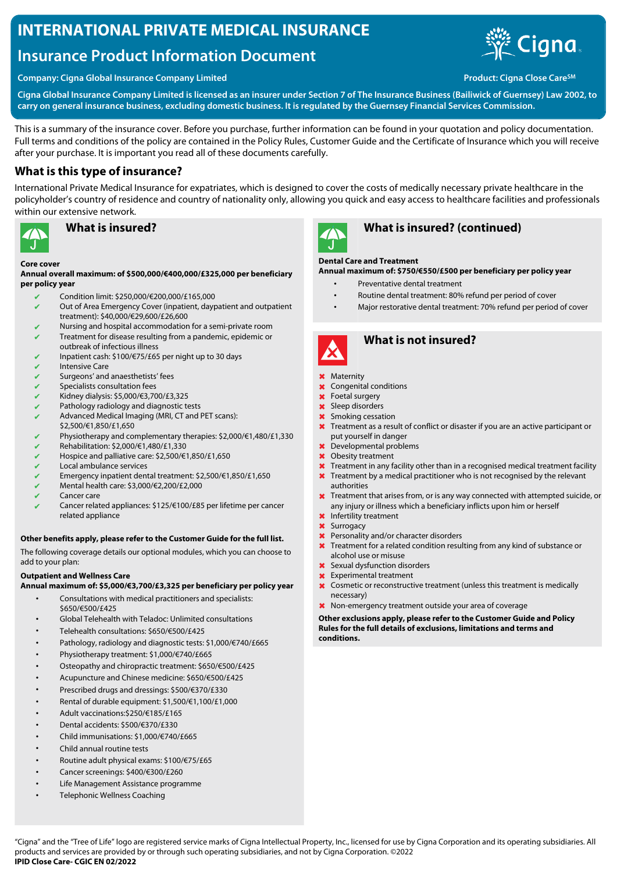# **INTERNATIONAL PRIVATE MEDICAL INSURANCE**

# **Insurance Product Information Document**



**Company: Cigna Global Insurance Company Limited Product: Cigna Close Care** SM **Product: Cigna Close Care** SM

**Cigna Global Insurance Company Limited is licensed as an insurer under Section 7 of The Insurance Business (Bailiwick of Guernsey) Law 2002, to carry on general insurance business, excluding domestic business. It is regulated by the Guernsey Financial Services Commission.**

This is a summary of the insurance cover. Before you purchase, further information can be found in your quotation and policy documentation. Full terms and conditions of the policy are contained in the Policy Rules, Customer Guide and the Certificate of Insurance which you will receive after your purchase. It is important you read all of these documents carefully.

## **What is this type of insurance?**

International Private Medical Insurance for expatriates, which is designed to cover the costs of medically necessary private healthcare in the policyholder's country of residence and country of nationality only, allowing you quick and easy access to healthcare facilities and professionals within our extensive network.



## **What is insured?**

#### **Core cover**

**Annual overall maximum: of \$500,000/€400,000/£325,000 per beneficiary per policy year**

- ✔ Condition limit: \$250,000/€200,000/£165,000
- $\sqrt{\phantom{a}}$  Out of Area Emergency Cover (inpatient, daypatient and outpatient treatment): \$40,000/€29,600/£26,600
- Nursing and hospital accommodation for a semi-private room ✔ Treatment for disease resulting from a pandemic, epidemic or
- outbreak of infectious illness
- ✔ Inpatient cash: \$100/€75/£65 per night up to 30 days **Intensive Care**
- 
- Surgeons' and anaesthetists' fees
- Specialists consultation fees ✔ Kidney dialysis: \$5,000/€3,700/£3,325
- Pathology radiology and diagnostic tests
- ✔ Advanced Medical Imaging (MRI, CT and PET scans):
- \$2,500/€1,850/£1,650
- Physiotherapy and complementary therapies: \$2,000/€1,480/£1,330
- ✔ Rehabilitation: \$2,000/€1,480/£1,330
- ✔ Hospice and palliative care: \$2,500/€1,850/£1,650
- Local ambulance services
- ✔ Emergency inpatient dental treatment: \$2,500/€1,850/£1,650
- $\checkmark$  Mental health care: \$3,000/€2,200/£2,000
- ✔ Cancer care
- Cancer related appliances: \$125/€100/£85 per lifetime per cancer related appliance

### **Other benefits apply, please refer to the Customer Guide for the full list.**

The following coverage details our optional modules, which you can choose to add to your plan:

### **Outpatient and Wellness Care**

**Annual maximum of: \$5,000/€3,700/£3,325 per beneficiary per policy year**

- Consultations with medical practitioners and specialists: \$650/€500/£425
- Global Telehealth with Teladoc: Unlimited consultations
- Telehealth consultations: \$650/€500/£425
- Pathology, radiology and diagnostic tests: \$1,000/€740/£665
- Physiotherapy treatment: \$1,000/€740/£665
- Osteopathy and chiropractic treatment: \$650/€500/£425
- Acupuncture and Chinese medicine: \$650/€500/£425
- Prescribed drugs and dressings: \$500/€370/£330
- Rental of durable equipment: \$1,500/€1,100/£1,000
- Adult vaccinations:\$250/€185/£165
- Dental accidents: \$500/€370/£330
- Child immunisations: \$1,000/€740/£665
- Child annual routine tests
- Routine adult physical exams: \$100/€75/£65
- Cancer screenings: \$400/€300/£260
- Life Management Assistance programme
- Telephonic Wellness Coaching



## **What is insured? (continued)**

### **Dental Care and Treatment**

**Annual maximum of: \$750/€550/£500 per beneficiary per policy year**

- Preventative dental treatment
	- Routine dental treatment: 80% refund per period of cover
	- Major restorative dental treatment: 70% refund per period of cover



## **What is not insured?**

#### ✖ Maternity

- ✖ Congenital conditions
- ✖ Foetal surgery
- ✖ Sleep disorders
- ✖ Smoking cessation
- **X** Treatment as a result of conflict or disaster if you are an active participant or put yourself in danger
- ✖ Developmental problems
- ✖ Obesity treatment
- ✖ Treatment in any facility other than in a recognised medical treatment facility
- **X** Treatment by a medical practitioner who is not recognised by the relevant authorities
- **X** Treatment that arises from, or is any way connected with attempted suicide, or any injury or illness which a beneficiary inflicts upon him or herself
- ✖ Infertility treatment
- ✖ Surrogacy
- ✖ Personality and/or character disorders
- ✖ Treatment for a related condition resulting from any kind of substance or alcohol use or misuse
- ✖ Sexual dysfunction disorders
- ✖ Experimental treatment
- ✖ Cosmetic or reconstructive treatment (unless this treatment is medically necessary)
- ✖ Non-emergency treatment outside your area of coverage

**Other exclusions apply, please refer to the Customer Guide and Policy Rules for the full details of exclusions, limitations and terms and conditions.**